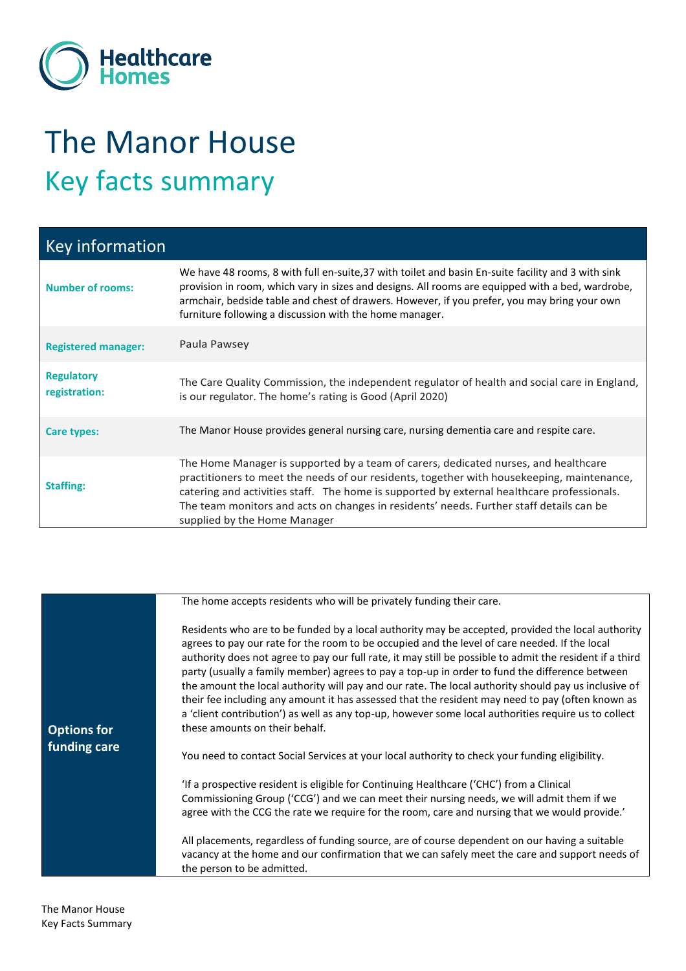

## The Manor House Key facts summary

| <b>Key information</b>             |                                                                                                                                                                                                                                                                                                                                                                                                            |
|------------------------------------|------------------------------------------------------------------------------------------------------------------------------------------------------------------------------------------------------------------------------------------------------------------------------------------------------------------------------------------------------------------------------------------------------------|
| <b>Number of rooms:</b>            | We have 48 rooms, 8 with full en-suite, 37 with toilet and basin En-suite facility and 3 with sink<br>provision in room, which vary in sizes and designs. All rooms are equipped with a bed, wardrobe,<br>armchair, bedside table and chest of drawers. However, if you prefer, you may bring your own<br>furniture following a discussion with the home manager.                                          |
| <b>Registered manager:</b>         | Paula Pawsey                                                                                                                                                                                                                                                                                                                                                                                               |
| <b>Regulatory</b><br>registration: | The Care Quality Commission, the independent regulator of health and social care in England,<br>is our regulator. The home's rating is Good (April 2020)                                                                                                                                                                                                                                                   |
| <b>Care types:</b>                 | The Manor House provides general nursing care, nursing dementia care and respite care.                                                                                                                                                                                                                                                                                                                     |
| <b>Staffing:</b>                   | The Home Manager is supported by a team of carers, dedicated nurses, and healthcare<br>practitioners to meet the needs of our residents, together with housekeeping, maintenance,<br>catering and activities staff. The home is supported by external healthcare professionals.<br>The team monitors and acts on changes in residents' needs. Further staff details can be<br>supplied by the Home Manager |

|                    | The home accepts residents who will be privately funding their care.                                                                                                                                                                                                                                                                                                                                                                                                                                                                                                                                                                                                                                                                                                   |
|--------------------|------------------------------------------------------------------------------------------------------------------------------------------------------------------------------------------------------------------------------------------------------------------------------------------------------------------------------------------------------------------------------------------------------------------------------------------------------------------------------------------------------------------------------------------------------------------------------------------------------------------------------------------------------------------------------------------------------------------------------------------------------------------------|
| <b>Options for</b> | Residents who are to be funded by a local authority may be accepted, provided the local authority<br>agrees to pay our rate for the room to be occupied and the level of care needed. If the local<br>authority does not agree to pay our full rate, it may still be possible to admit the resident if a third<br>party (usually a family member) agrees to pay a top-up in order to fund the difference between<br>the amount the local authority will pay and our rate. The local authority should pay us inclusive of<br>their fee including any amount it has assessed that the resident may need to pay (often known as<br>a 'client contribution') as well as any top-up, however some local authorities require us to collect<br>these amounts on their behalf. |
| funding care       | You need to contact Social Services at your local authority to check your funding eligibility.                                                                                                                                                                                                                                                                                                                                                                                                                                                                                                                                                                                                                                                                         |
|                    | 'If a prospective resident is eligible for Continuing Healthcare ('CHC') from a Clinical<br>Commissioning Group ('CCG') and we can meet their nursing needs, we will admit them if we<br>agree with the CCG the rate we require for the room, care and nursing that we would provide.'                                                                                                                                                                                                                                                                                                                                                                                                                                                                                 |
|                    | All placements, regardless of funding source, are of course dependent on our having a suitable<br>vacancy at the home and our confirmation that we can safely meet the care and support needs of<br>the person to be admitted.                                                                                                                                                                                                                                                                                                                                                                                                                                                                                                                                         |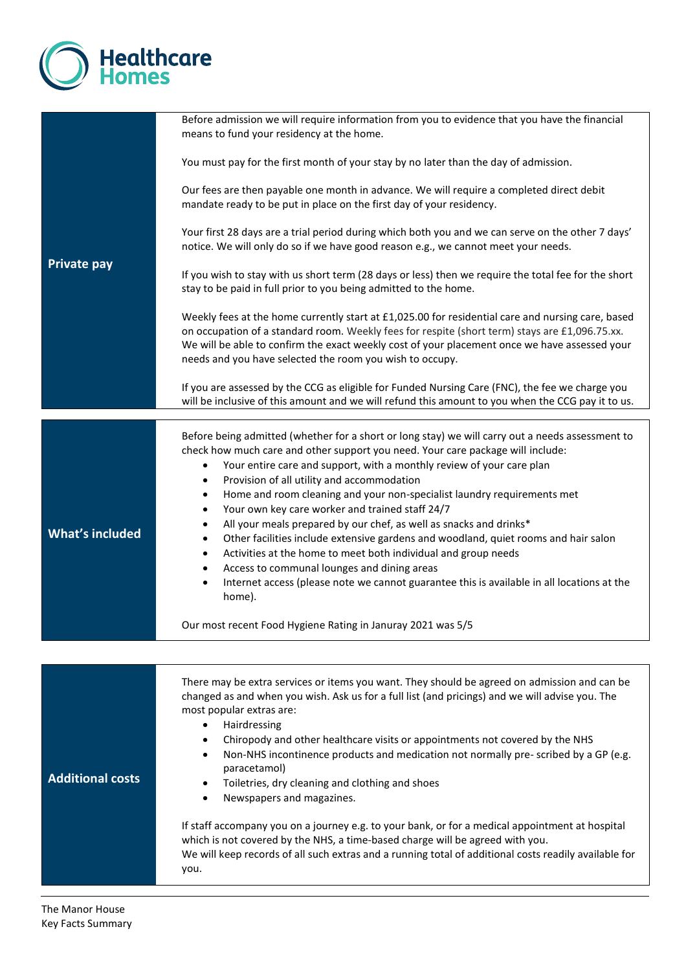

| <b>Private pay</b>      | Before admission we will require information from you to evidence that you have the financial<br>means to fund your residency at the home.<br>You must pay for the first month of your stay by no later than the day of admission.                                                                                                                                                                                                                                                                                                                                                                                                                                                                                                         |
|-------------------------|--------------------------------------------------------------------------------------------------------------------------------------------------------------------------------------------------------------------------------------------------------------------------------------------------------------------------------------------------------------------------------------------------------------------------------------------------------------------------------------------------------------------------------------------------------------------------------------------------------------------------------------------------------------------------------------------------------------------------------------------|
|                         | Our fees are then payable one month in advance. We will require a completed direct debit<br>mandate ready to be put in place on the first day of your residency.                                                                                                                                                                                                                                                                                                                                                                                                                                                                                                                                                                           |
|                         | Your first 28 days are a trial period during which both you and we can serve on the other 7 days'<br>notice. We will only do so if we have good reason e.g., we cannot meet your needs.                                                                                                                                                                                                                                                                                                                                                                                                                                                                                                                                                    |
|                         | If you wish to stay with us short term (28 days or less) then we require the total fee for the short<br>stay to be paid in full prior to you being admitted to the home.                                                                                                                                                                                                                                                                                                                                                                                                                                                                                                                                                                   |
|                         | Weekly fees at the home currently start at £1,025.00 for residential care and nursing care, based<br>on occupation of a standard room. Weekly fees for respite (short term) stays are £1,096.75.xx.<br>We will be able to confirm the exact weekly cost of your placement once we have assessed your<br>needs and you have selected the room you wish to occupy.                                                                                                                                                                                                                                                                                                                                                                           |
|                         | If you are assessed by the CCG as eligible for Funded Nursing Care (FNC), the fee we charge you<br>will be inclusive of this amount and we will refund this amount to you when the CCG pay it to us.                                                                                                                                                                                                                                                                                                                                                                                                                                                                                                                                       |
| <b>What's included</b>  | Before being admitted (whether for a short or long stay) we will carry out a needs assessment to<br>check how much care and other support you need. Your care package will include:<br>Your entire care and support, with a monthly review of your care plan<br>$\bullet$<br>Provision of all utility and accommodation<br>٠<br>Home and room cleaning and your non-specialist laundry requirements met<br>٠<br>Your own key care worker and trained staff 24/7<br>$\bullet$<br>All your meals prepared by our chef, as well as snacks and drinks*<br>٠<br>Other facilities include extensive gardens and woodland, quiet rooms and hair salon<br>$\bullet$<br>Activities at the home to meet both individual and group needs<br>$\bullet$ |
|                         | Access to communal lounges and dining areas<br>$\bullet$<br>Internet access (please note we cannot guarantee this is available in all locations at the<br>$\bullet$<br>home).                                                                                                                                                                                                                                                                                                                                                                                                                                                                                                                                                              |
|                         | Our most recent Food Hygiene Rating in Januray 2021 was 5/5                                                                                                                                                                                                                                                                                                                                                                                                                                                                                                                                                                                                                                                                                |
|                         |                                                                                                                                                                                                                                                                                                                                                                                                                                                                                                                                                                                                                                                                                                                                            |
| <b>Additional costs</b> | There may be extra services or items you want. They should be agreed on admission and can be<br>changed as and when you wish. Ask us for a full list (and pricings) and we will advise you. The<br>most popular extras are:<br>Hairdressing<br>$\bullet$<br>Chiropody and other healthcare visits or appointments not covered by the NHS<br>٠<br>Non-NHS incontinence products and medication not normally pre-scribed by a GP (e.g.<br>$\bullet$<br>paracetamol)<br>Toiletries, dry cleaning and clothing and shoes<br>$\bullet$<br>Newspapers and magazines.<br>If staff accompany you on a journey e.g. to your bank, or for a medical appointment at hospital                                                                          |
|                         | which is not covered by the NHS, a time-based charge will be agreed with you.<br>We will keep records of all such extras and a running total of additional costs readily available for<br>you.                                                                                                                                                                                                                                                                                                                                                                                                                                                                                                                                             |

J.